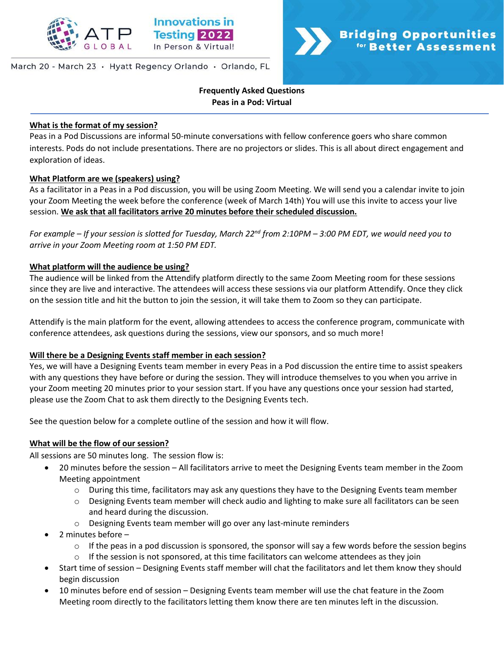

#### March 20 - March 23 · Hyatt Regency Orlando · Orlando, FL



## **Frequently Asked Questions Peas in a Pod: Virtual**

#### **What is the format of my session?**

Peas in a Pod Discussions are informal 50-minute conversations with fellow conference goers who share common interests. Pods do not include presentations. There are no projectors or slides. This is all about direct engagement and exploration of ideas.

#### **What Platform are we (speakers) using?**

As a facilitator in a Peas in a Pod discussion, you will be using Zoom Meeting. We will send you a calendar invite to join your Zoom Meeting the week before the conference (week of March 14th) You will use this invite to access your live session. **We ask that all facilitators arrive 20 minutes before their scheduled discussion.**

*For example – If your session is slotted for Tuesday, March 22nd from 2:10PM – 3:00 PM EDT, we would need you to arrive in your Zoom Meeting room at 1:50 PM EDT.* 

#### **What platform will the audience be using?**

The audience will be linked from the Attendify platform directly to the same Zoom Meeting room for these sessions since they are live and interactive. The attendees will access these sessions via our platform Attendify. Once they click on the session title and hit the button to join the session, it will take them to Zoom so they can participate.

Attendify is the main platform for the event, allowing attendees to access the conference program, communicate with conference attendees, ask questions during the sessions, view our sponsors, and so much more!

#### **Will there be a Designing Events staff member in each session?**

Yes, we will have a Designing Events team member in every Peas in a Pod discussion the entire time to assist speakers with any questions they have before or during the session. They will introduce themselves to you when you arrive in your Zoom meeting 20 minutes prior to your session start. If you have any questions once your session had started, please use the Zoom Chat to ask them directly to the Designing Events tech.

See the question below for a complete outline of the session and how it will flow.

#### **What will be the flow of our session?**

All sessions are 50 minutes long. The session flow is:

- 20 minutes before the session All facilitators arrive to meet the Designing Events team member in the Zoom Meeting appointment
	- $\circ$  During this time, facilitators may ask any questions they have to the Designing Events team member
	- Designing Events team member will check audio and lighting to make sure all facilitators can be seen and heard during the discussion.
	- o Designing Events team member will go over any last-minute reminders
- 2 minutes before
	- $\circ$  If the peas in a pod discussion is sponsored, the sponsor will say a few words before the session begins
	- $\circ$  If the session is not sponsored, at this time facilitators can welcome attendees as they join
- Start time of session Designing Events staff member will chat the facilitators and let them know they should begin discussion
- 10 minutes before end of session Designing Events team member will use the chat feature in the Zoom Meeting room directly to the facilitators letting them know there are ten minutes left in the discussion.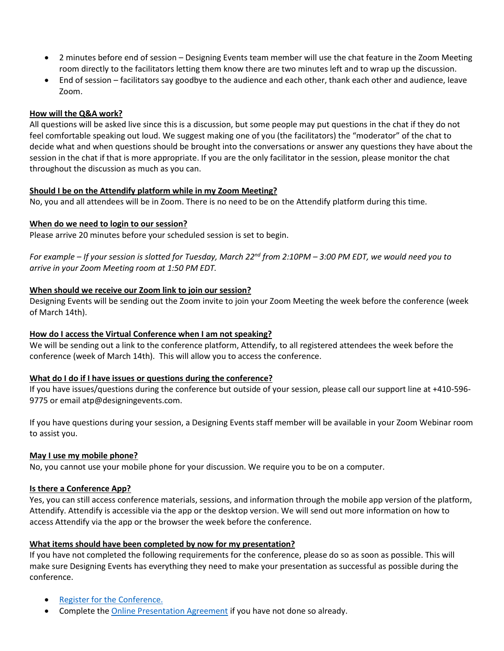- 2 minutes before end of session Designing Events team member will use the chat feature in the Zoom Meeting room directly to the facilitators letting them know there are two minutes left and to wrap up the discussion.
- End of session facilitators say goodbye to the audience and each other, thank each other and audience, leave Zoom.

## **How will the Q&A work?**

All questions will be asked live since this is a discussion, but some people may put questions in the chat if they do not feel comfortable speaking out loud. We suggest making one of you (the facilitators) the "moderator" of the chat to decide what and when questions should be brought into the conversations or answer any questions they have about the session in the chat if that is more appropriate. If you are the only facilitator in the session, please monitor the chat throughout the discussion as much as you can.

## **Should I be on the Attendify platform while in my Zoom Meeting?**

No, you and all attendees will be in Zoom. There is no need to be on the Attendify platform during this time.

## **When do we need to login to our session?**

Please arrive 20 minutes before your scheduled session is set to begin.

*For example – If your session is slotted for Tuesday, March 22nd from 2:10PM – 3:00 PM EDT, we would need you to arrive in your Zoom Meeting room at 1:50 PM EDT.*

## **When should we receive our Zoom link to join our session?**

Designing Events will be sending out the Zoom invite to join your Zoom Meeting the week before the conference (week of March 14th).

# **How do I access the Virtual Conference when I am not speaking?**

We will be sending out a link to the conference platform, Attendify, to all registered attendees the week before the conference (week of March 14th). This will allow you to access the conference.

# **What do I do if I have issues or questions during the conference?**

If you have issues/questions during the conference but outside of your session, please call our support line at +410-596- 9775 or email atp@designingevents.com.

If you have questions during your session, a Designing Events staff member will be available in your Zoom Webinar room to assist you.

#### **May I use my mobile phone?**

No, you cannot use your mobile phone for your discussion. We require you to be on a computer.

#### **Is there a Conference App?**

Yes, you can still access conference materials, sessions, and information through the mobile app version of the platform, Attendify. Attendify is accessible via the app or the desktop version. We will send out more information on how to access Attendify via the app or the browser the week before the conference.

# **What items should have been completed by now for my presentation?**

If you have not completed the following requirements for the conference, please do so as soon as possible. This will make sure Designing Events has everything they need to make your presentation as successful as possible during the conference.

- [Register for the Conference.](http://www.innovationsintesting.org/register.aspx)
- Complete the [Online Presentation Agreement](https://prod-iso.eventscloud.com/esurvey/index.php?surveyid=99177) if you have not done so already.